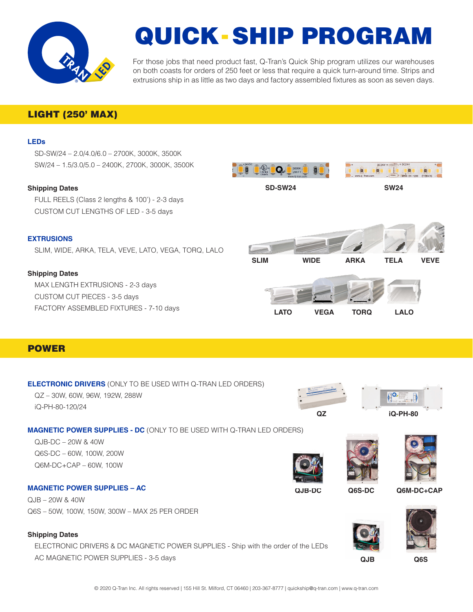

# QUICK-SHIP PROGRAM

For those jobs that need product fast, Q-Tran's Quick Ship program utilizes our warehouses on both coasts for orders of 250 feet or less that require a quick turn-around time. Strips and extrusions ship in as little as two days and factory assembled fixtures as soon as seven days.

## LIGHT (250' MAX)

#### **LEDs**

SD-SW/24 – 2.0/4.0/6.0 – 2700K, 3000K, 3500K SW/24 – 1.5/3.0/5.0 – 2400K, 2700K, 3000K, 3500K

#### **Shipping Dates**

FULL REELS (Class 2 lengths & 100') - 2-3 days CUSTOM CUT LENGTHS OF LED - 3-5 days

#### **EXTRUSIONS**

SLIM, WIDE, ARKA, TELA, VEVE, LATO, VEGA, TORQ, LALO

#### **Shipping Dates**

MAX LENGTH EXTRUSIONS - 2-3 days CUSTOM CUT PIECES - 3-5 days FACTORY ASSEMBLED FIXTURES - 7-10 days





#### **ELECTRONIC DRIVERS** (ONLY TO BE USED WITH Q-TRAN LED ORDERS)

QZ – 30W, 60W, 96W, 192W, 288W iQ-PH-80-120/24



### **MAGNETIC POWER SUPPLIES - DC** (ONLY TO BE USED WITH Q-TRAN LED ORDERS)

QJB-DC – 20W & 40W Q6S-DC – 60W, 100W, 200W Q6M-DC+CAP – 60W, 100W

QJB – 20W & 40W

**Shipping Dates**

**MAGNETIC POWER SUPPLIES – AC**

Q6S – 50W, 100W, 150W, 300W – MAX 25 PER ORDER







**QJB-DC Q6S-DC Q6M-DC+CAP**



**QJB Q6S**

ELECTRONIC DRIVERS & DC MAGNETIC POWER SUPPLIES - Ship with the order of the LEDs AC MAGNETIC POWER SUPPLIES - 3-5 days